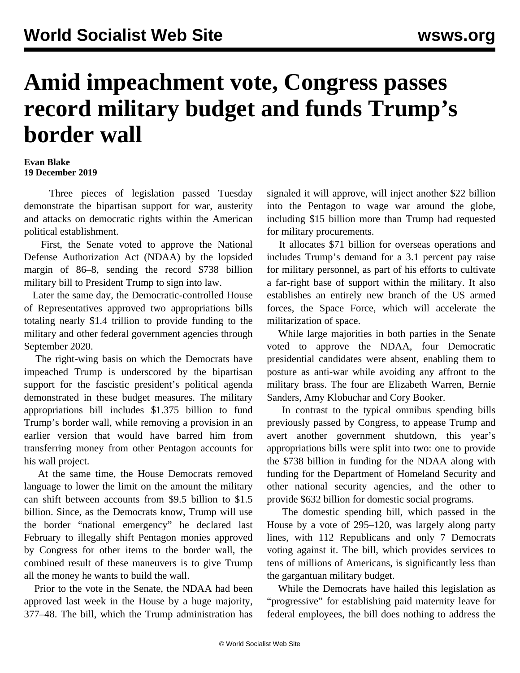## **Amid impeachment vote, Congress passes record military budget and funds Trump's border wall**

## **Evan Blake 19 December 2019**

 Three pieces of legislation passed Tuesday demonstrate the bipartisan support for war, austerity and attacks on democratic rights within the American political establishment.

 First, the Senate voted to approve the National Defense Authorization Act (NDAA) by the lopsided margin of 86–8, sending the record \$738 billion military bill to President Trump to sign into law.

 Later the same day, the Democratic-controlled House of Representatives approved two appropriations bills totaling nearly \$1.4 trillion to provide funding to the military and other federal government agencies through September 2020.

 The right-wing basis on which the Democrats have impeached Trump is underscored by the bipartisan support for the fascistic president's political agenda demonstrated in these budget measures. The military appropriations bill includes \$1.375 billion to fund Trump's border wall, while removing a provision in an earlier version that would have barred him from transferring money from other Pentagon accounts for his wall project.

 At the same time, the House Democrats removed language to lower the limit on the amount the military can shift between accounts from \$9.5 billion to \$1.5 billion. Since, as the Democrats know, Trump will use the border "national emergency" he declared last February to illegally shift Pentagon monies approved by Congress for other items to the border wall, the combined result of these maneuvers is to give Trump all the money he wants to build the wall.

 Prior to the vote in the Senate, the NDAA [had been](/en/articles/2019/12/12/ndaa-d12.html) [approved](/en/articles/2019/12/12/ndaa-d12.html) last week in the House by a huge majority, 377–48. The bill, which the Trump administration has signaled it will approve, will inject another \$22 billion into the Pentagon to wage war around the globe, including \$15 billion more than Trump had requested for military procurements.

 It allocates \$71 billion for overseas operations and includes Trump's demand for a 3.1 percent pay raise for military personnel, as part of his efforts to cultivate a far-right base of support within the military. It also establishes an entirely new branch of the US armed forces, the Space Force, which will accelerate the militarization of space.

 While large majorities in both parties in the Senate voted to approve the NDAA, four Democratic presidential candidates were absent, enabling them to posture as anti-war while avoiding any affront to the military brass. The four are Elizabeth Warren, Bernie Sanders, Amy Klobuchar and Cory Booker.

 In contrast to the typical omnibus spending bills previously passed by Congress, to appease Trump and avert another government shutdown, this year's appropriations bills were split into two: one to provide the \$738 billion in funding for the NDAA along with funding for the Department of Homeland Security and other national security agencies, and the other to provide \$632 billion for domestic social programs.

 The domestic spending bill, which passed in the House by a vote of 295–120, was largely along party lines, with 112 Republicans and only 7 Democrats voting against it. The bill, which provides services to tens of millions of Americans, is significantly less than the gargantuan military budget.

 While the Democrats have hailed this legislation as "progressive" for establishing paid maternity leave for federal employees, the bill does nothing to address the